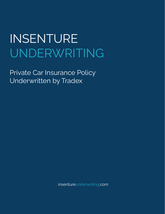Private Car Insurance Policy Underwritten by Tradex

insentureunderwriting.com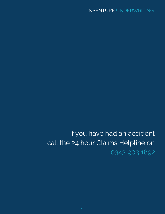If you have had an accident call the 24 hour Claims Helpline on 0343 903 1892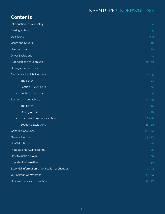## **Contents**

| Introduction to your policy                     | 4         |
|-------------------------------------------------|-----------|
| Making a claim                                  | 5         |
| <b>Definitions</b>                              | $6 - 9$   |
| Users and Drivers                               | $10$      |
| Use Exclusions                                  | $10$      |
| <b>Driver Exclusions</b>                        | 11        |
| European and foreign use                        | $12 - 13$ |
| Driving other vehicles                          | 13        |
| Section 1 - Liability to others                 | $14 - 15$ |
| The cover                                       | 14        |
| Section 1 Extensions                            | 14        |
| Section 1 Exclusions<br>$\equiv$                | 15        |
| Section 2 - Your vehicle                        | $16 - 19$ |
| The cover<br>÷                                  | 16        |
| Making a claim<br>٠.                            | 16        |
| How we will settle your claim<br>$\equiv$       | $16 - 18$ |
| Section 2 Exclusions                            | $18 - 19$ |
| <b>General Conditions</b>                       | $20 - 24$ |
| <b>General Exclusions</b>                       | $25 - 27$ |
| No Claim Bonus                                  | 28        |
| Protected No Claims Bonus                       | 28        |
| How to make a claim                             | 29        |
| Important information                           | 30        |
| Essential Information & Notification of changes |           |
| Our Service Commitment                          | $33 - 34$ |
| How we use your information                     | $35 - 37$ |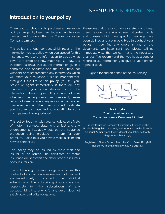### **Introduction to your policy**

Thank you for choosing to purchase an insurance policy arranged by Insenture Underwriting Services Limited and underwritten by Tradex Insurance Company Limited.

This policy is a legal contract which relies on the information you supplied when you applied for this insurance. We use the information to decide what cover to provide and how much you will pay. It is therefore essential that all the information given is complete and accurate and that you have not withheld or misrepresented any information which will affect your insurance. It is also important that, throughout the life of this **policy**, you tell your broker or agent immediately if there are any changes in your circumstances or to the information already given. If you are not sure whether something is important or relevant, please tell your broker or agent anyway as failure to do so may affect a claim, the cover provided, invalidate your insurance or result in it not operating fully or a claim payment being reduced.

This policy, together with your schedule, certificate of motor insurance, statement of fact and any endorsements that apply, sets out the insurance protection being provided in return for your premium. It also tells you how to make a claim and how to contact us.

This policy may be insured by more than one insurer or co-insurer. The certificate of motor insurance will show this and detail who the insurers or co-insurers are.

The subscribing insurers' obligations under this contract of insurance are several and not joint and are limited solely to the extent of their individual subscriptions. The subscribing insurers are not responsible for the subscription of any co-subscribing insurer who for any reason does not satisfy all or part of its obligations.

Please read all the documents carefully and keep them in a safe place. You will see that certain words and phrases which have specific meanings have been defined and are in bold type throughout your **policy**. If you find any errors in any of the documents we have sent you, please tell us immediately so that we can make the necessary changes. We recommend that you keep a copy or record of all information you give to your broker, agent or to us.

#### Signed for and on behalf of the Insurers by:



### **Nick Taylor** Chief Executive Officer **Tradex Insurance Company Limited**

Tradex Insurance Company Limited is authorised by the Prudential Regulation Authority and regulated by the Financial Conduct Authority and the Prudential Regulation Authority. Register number 202917.

Registered office: 7 Eastern Road, Romford, Essex RM1 3NH. Registered in England and Wales No. 2983873.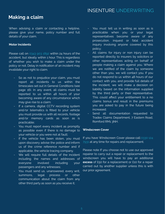### **Making a claim**

When advising a claim or contacting a helpline, please give your name, policy number and full details of your claim.

### **Motor Incidents**

Please call on 0343 903 1892 within 24 hours of the accident, but ideally within 1 hour. This is regardless of whether you wish to make a claim under the policy or not. Delay in notification of an incident may invalidate your right to claim.

- So as not to prejudice your claim, you must report all incidents to us within the timescales set out in General Conditions (see page 16). In any event, all claims must be reported to us within 48 hours of your becoming aware of any circumstance which may give rise to a claim;
- If a camera, digital CCTV recording system and/or telematics is fitted to your vehicle you must provide us with all records, footage and/or memory cards as soon as is practicable;
- You must report every incident as promptly as possible even if there is no damage to your vehicle or you were not at fault;
- If the vehicle has been stolen, you must upon discovery advise the police and inform us of the crime reference number and if applicable, the vehicle tracing company.
- We will require full details of the incident including the names and addresses of everyone involved including your passengers and any witnesses;
- You must send us, unanswered, every writ, summons, legal process or other communication about the claim from any other third party as soon as you receive it;
- You must tell us in writing as soon as is practicable when you or your legal representatives become aware of any prosecution, inquest or fatal accident inquiry involving anyone covered by this policy;
- All claims for injury or non injury can be reported directly to insurers by solicitors or other representatives acting on behalf of people making a claim against you. Where we are notified of the claim by someone other than you, we will contact you. If you do not respond to us within 48 hours of our contact with you, and provide full details of the incident, we will make a decision on liability based on the information supplied by the third party or their representative. This could affect your entitlement to a no claims bonus and result in the premiums you are asked to pay in the future being increased;
- Send all documentation requested to Tradex Claims Department, 7 Eastern Road, Romford RM1 3NH.

### **Windscreen Cover**

If you have Windscreen Cover please call 0330 124 7931 at any time for repairs and replacement.

Please note If you choose not to use our approved repairer to carry out a repair or replacement to the windscreen you will have to pay an additional **excess** of £50 for a replacement or £10 for a repair carried out by another supplier unless this is with our prior agreement.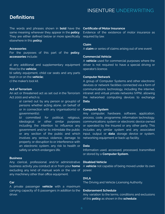### **Definitions**

The words and phrases shown in **bold** have the same meaning wherever they appear in the **policy**. They are either defined below or more specifically elsewhere in this **policy**.

#### **Accessories**

For the purposes of this part of the **policy**, **accessories** include:

a) any additional and supplementary equipment fitted to the **vehicle**;

b) safety equipment, child car seats and any parts kept in or on the **vehicle;**

c) the maker's tool kit.

### **Act of Terrorism**

An act or threatened act as set out in the Terrorism Act 2000 and which is:

> a) carried out by any person or group(s) of persons whether acting alone, on behalf of or in connection with any organisation(s) or government(s);

> b) committed for political, religious, ideological or other similar purposes including the intention to influence any government and/or to intimidate the public or any section of the public and which involves any serious violence, damage to property or disruption to or interference with an electronic system, any risk to health or safety or which endangers life.

### **Business**

Any clerical, professional and/or administrative business activity you conduct at or from your **home** excluding any kind of manual work or the use of any machinery other than office equipment.

#### **Car**

A private passenger **vehicle** with a maximum carrying capacity of 6 passengers in addition to the driver.

#### **Certificate of Motor Insurance**

Evidence of the existence of motor insurance as required by law.

#### **Claim**

A **claim** or series of claims arising out of one event.

### **Commercial Vehicle**

A **vehicle** used for commercial purposes where the driver is not required to have a special driving or operator's licence.

#### **Computer Network**

A group of Computer Systems and other electronic devices or network facilities connected via a form of communications technology, including the internet, intranet and virtual private networks (VPN), allowing the networked computing devices to exchange **Data**.

### **Computer System**

Any computer, hardware, software, application, process, code, programme, information technology, communications system or electronic device owned or operated by the Insured or any other party. This includes any similar system and any associated input, output or **data** storage device or system, networking equipment or back up facility.

#### **Data**

Information used, accessed, processed, transmitted or stored by a **Computer System.**

### **Disabled Vehicle**

A **vehicle** not capable of being moved under its own power.

### **DVLA**

The Driving and Vehicle Licensing Authority.

### **Endorsement Schedule**

Any variation to the terms, conditions and exclusions of this **policy** as shown in the **schedule**.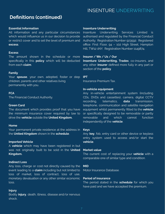### **Definitions (continued)**

### **Essential Information**

All information and any particular circumstances which would influence us in our decision to provide or restrict cover and to set the level of premium and **excess**.

### **Excess**

The amount shown in the schedule or more specifically in this **policy** which will be deducted from each **claim**.

### **Family**

Your **spouse**, your own, adopted, foster or step children, parents and other relatives living permanently with you.

### **FCA**

The Financial Conduct Authority.

#### **Green Card**

The document which provides proof that you have the minimum insurance cover required by law to drive the **vehicle** outside the **United Kingdom.**

### **Home**

Your permanent private residence at the address in the **United Kingdom** shown in the **schedule**.

### **Imported Vehicle**

A **vehicle** which may have been registered in but was not originally built to be sold in the **United Kingdom.**

### **Indirect Loss**

Any loss, charge or cost not directly caused by the event leading to a **claim** including but not limited to loss of market, loss of contract, loss of use, monetary devaluation or any other similar economic loss.

### **Injury**

Bodily **injury**, death, illness, disease and/or nervous shock.

### **Insenture Underwriting**

Insenture Underwriting Services Limited is authorised and regulated by the Financial Conduct Authority. Registration Number 923592. Registered office: First Floor, 94 – 102 High Street, Hampton Hill, TW12 1NY. Registration Number 1149874.

### **Insurer / We / Us / Our**

**Insenture Underwriting, Tradex**, co-insurers, and any other **insurer** defined more fully in any part or section of the **policy**.

### **IPT**

Insurance Premium Tax.

### **In-vehicle equipment**

Any in-vehicle entertainment system (including CDs, DVDs and cassettes), camera, digital CCTV recording, telematics, **data** transmission, telephone, communication and satellite navigation equipment whilst permanently fitted to the **vehicle** or specifically designed to be removable or partly removable and which cannot function independently of the **vehicle**.

#### **Keys**

Any **key**, fob, entry card or other device or keyless entry system used to access and/or start the **vehicle**.

#### **Market value**

The current cost of replacing your **vehicle** with a comparable one of similar type and condition.

### **MID**

Motor Insurance Database.

### **Period of insurance**

The period stated in the **schedule** for which you have paid and we have accepted the premium.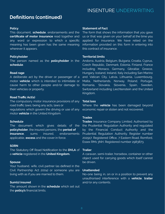### **Definitions (continued)**

### **Policy**

This document, **schedule**, endorsements and the **certificate of motor insurance** read together and any word or expression to which a specific meaning has been given has the same meaning wherever it appears.

#### **Policyholder**

The person named as the **policyholder** in the **schedule**.

### **Road rage**

A deliberate act by the driver or passenger of a motor **vehicle** which is intended to intimidate or cause harm to other people and/or damage to their vehicles or property.

### **Road Traffic Act(s)**

The compulsory motor insurance provisions of any road traffic laws; being any acts, laws or regulations which govern the driving or use of any motor **vehicle** in the United Kingdom.

#### **Schedule**

The document which gives details of the **policyholder**, the insured persons, the **period of insurance**, sums insured, endorsements applicable, **excess** and the cover in force.

### **SORN**

The Statutory Off Road Notification to the **DVLA** of **Trailer** a **vehicle** registered in the **United Kingdom.**

#### **Spouse**

Your husband, wife, civil partner (as defined in the Civil Partnership Act 2004) or someone you are living with as if you are married to them.

### **Sum(s) insured**

The amount shown in the **schedule** which set out the **policy's** financial limits.

### **Statement of Fact**

The form that shows the information that you gave us or that was given on your behalf at the time you applied for insurance. We have relied on the information provided on this form in entering into this contract of insurance.

### **Territorial limits**

Andorra, Austria, Belgium, Bulgaria, Croatia, Cyprus, Czech Republic, Denmark, Estonia, Finland, France including Monaco, Germany, Gibraltar, Greece, Hungary, Iceland, Ireland, Italy including San Marino and Vatican City, Latvia, Lithuania, Luxembourg, Malta, Netherlands, Norway, Poland, Portugal, Romania, Slovakia, Slovenia, Spain, Sweden, Switzerland including Liechtenstein and the United Kingdom.

### **Total loss**

Where the **vehicle** has been damaged beyond economic repair or stolen and not recovered.

### **Tradex**

**Tradex** Insurance Company Limited. Authorised by the Prudential Regulation Authority and regulated by the Financial Conduct Authority and the Prudential Regulation Authority. Register number 202917. Registered Office, 7 Eastern Road, Romford, Essex RM1 3NH. Registered number 2983873.

A caravan, semi-trailer, horsebox, container or other object used for carrying goods which itself cannot be driven.

### **Unattended**

No-one being in, on or in a position to prevent any unauthorised interference with a **vehicle**, **trailer** and/or any contents.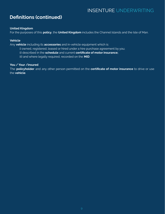### **Definitions (continued)**

### **United Kingdom**

For the purposes of this **policy**, the **United Kingdom** includes the Channel Islands and the Isle of Man.

### **Vehicle**

Any **vehicle** including its **accessories** and in-vehicle equipment which is:

- i) owned, registered, leased or hired under a hire purchase agreement by you;
- ii) described in the **schedule** and current **certificate of motor insurance;**
- iii) and where legally required, recorded on the **MID**.

### **You / Your /insured**

The **policyholder** and any other person permitted on the **certificate of motor insurance** to drive or use the **vehicle**.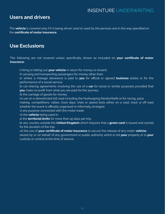### **Users and drivers**

The **vehicle** is covered only if it is being driven and/or used by the persons and in the way specified on the **certificate of motor insurance.**

### **Use Exclusions**

The following are not covered unless specifically shown as included on **your certificate of motor insurance:**

i) hiring or letting out **your vehicle** in return for money or reward;

ii) carrying and transporting passengers for money other than;

a) where a mileage allowance is paid to **you** for official or agreed **business** duties or for the performance of a social service;

b) car-sharing agreements involving the use of a **car** for social or similar purposes provided that **you** make no profit from what you are paid for the journey;

iii) the carriage of goods for money;

iv) use on a derestricted toll road including the Nurburgring Nordschleife or for racing, pace

making, competitions, rallies, track days, trials or speed tests either on a road, track or off-road whether the event is officially organised or informally arranged;

v) any purpose connected with the motor trade;

vi) the **vehicle** being used in;

a) the **territorial limits** for more than 45 days per trip;

b) any country outside the **United Kingdom** which requires that a **green card** is issued and carried for the duration of the trip;

vii) the use of **your certificate of motor insurance** to secure the release of any motor **vehicle;** seized by or on behalf of any government or public authority which is not **your** property or in **your** custody or control at the time of seizure.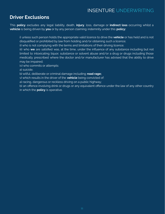### **Driver Exclusions**

This **policy** excludes any legal liability, death, **injury**, loss, damage or **indirect loss** occurring whilst a **vehicle** is being driven by **you** or by any person claiming indemnity under this **policy:**

i) unless such person holds the appropriate valid licence to drive the **vehicle** or has held and is not disqualified or prohibited by law from holding and/or obtaining such a licence;

ii) who is not complying with the terms and limitations of their driving licence;

iii) who **we** are satisfied was, at the time, under the influence of any substance including but not limited to intoxicating liquor, substance or solvent abuse and/or a drug or drugs including those medically prescribed where the doctor and/or manufacturer has advised that the ability to drive may be impaired;

iv) who commits or attempts:

a) suicide;

b) wilful, deliberate or criminal damage including **road rage;**

v) which results in the driver of the **vehicle** being convicted of:

a) racing, dangerous or reckless driving on a public highway;

b) an offence involving drink or drugs or any equivalent offence under the law of any other country in which the **policy** is operative.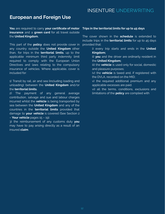### **European and Foreign Use**

**You** are required to carry **your certificate of motor Trips in the territorial limits for up to 45 days insurance** and a **green card** for all travel outside the **United Kingdom.**

This part of the **policy** does not provide cover in any country outside the **United Kingdom** other than, for trips in the **territorial limits**, up to the applicable minimum third party indemnity limit required to comply with the European Union Directives and laws relating to the compulsory insurance of vehicles. Where applicable, cover is included for:

1) Transit by rail, air and sea (including loading and unloading) between the **United Kingdom** and/or the **territorial limits.**

2) The payment of any general average contribution, salvage and sue and labour charges incurred whilst the **vehicle** is being transported by sea between the **United Kingdom** and any of the countries in the **territorial limits** provided that damage to **your vehicle** is covered (See Section 2 – **Your vehicle** pages 15 – 19).

3) the reimbursement of any customs duty **you** may have to pay arising directly as a result of an insured **claim**.

The cover shown in the **schedule** is extended to include trips in the **territorial limits** for up to 45 days provided that:

> i) every trip starts and ends in the **United Kingdom;**

> ii) **you** and the driver are ordinarily resident in the **United Kingdom;**

> iii) the **vehicle** is used only for social, domestic and pleasure purposes;

iv) the **vehicle** is taxed and, if registered with the DVLA, recorded on the MID;

v) the required additional premium and any applicable excesses are paid.

vi) all the terms, conditions, exclusions and limitations of the **policy** are complied with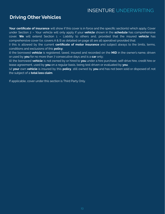### **Driving Other Vehicles**

**Your certificate of insurance** will show if this cover is in force and the specific section(s) which apply. Cover under Section 2 – Your vehicle will only apply if your **vehicle** shown in the **schedule** has comprehensive cover. **We** will extend Section 1 – Liability to others and, provided that the insured **vehicle** has comprehensive cover (i.e. covers A & B as detailed on page 16 are all operative) provided that:

i) this is allowed by the current **certificate of motor insurance** and subject always to the limits, terms, conditions and exclusions of this **policy**;

ii) the borrowed **vehicle** is registered, taxed, insured and recorded on the **MID** in the owner's name, driven or used by **you** for no more than 7 consecutive days and is a **car** only;

iii) the borrowed **vehicle** is not owned by or hired to **you** under a hire purchase, self-drive hire, credit hire or lease agreement, used by **you** on a regular basis, being test driven or evaluated by **you**;

iv) **your** own **vehicle** is insured by this **policy**, still owned by **you** and has not been sold or disposed of, not the subject of a **total loss claim**.

If applicable, cover under this section is Third Party Only.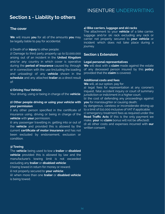### **Section 1 - Liability to others**

### **The cover**

**We** will insure **you** for all of the amounts **you** may be legally liable to pay for accidental:

### 1) Death of or **injury** to other people;

2) Damage to third party property up to £2,000,000 arising out of an incident in the **United Kingdom** and/or any country in which cover is operative during the **period of insurance** caused by, through or in connection with the use (including the loading and unloading) of any **vehicle** shown in the **schedule** and any attached **trailer** as a direct result of:

### **1) Driving Your Vehicle**

Your driving, using or being in charge of the **vehicle**.

### **2) Other people driving or using your vehicle with your permission**

i) any other person specified in the certificate of insurance using, driving or being in charge of the **vehicle** with **your** permission;

ii) any passenger travelling in, getting into or out of the **vehicle** and provided this is allowed by the current **certificate of motor insurance** and has not been excluded by endorsement, exclusion or condition.

### **3) Towing**

The **vehicle** being used to tow a **trailer** or **disabled vehicle** provided this is allowed by law and the manufacturer's towing limit is not exceeded excluding any **trailer** or **disabled vehicle**: i) being towed in return for money or reward; ii) not properly secured to **your vehicle**; iii) when more than one **trailer** or **disabled vehicle**

is being towed.

### **4) Bike carriers, luggage and ski racks**

The attachment to your **vehicle** of a bike carrier, luggage and/or ski rack excluding any rack or carrier not properly secured to **your vehicle** or incident which does not take place during a journey.

### **Section 1 Extensions**

#### **Legal personal representatives**

**We** will deal with a **claim** made against the estate of any deceased person insured by this **policy** provided that the **claim** is covered.

#### **Additional costs and fees**

**We** will, at our option, pay for:

a) legal fees for representation at any coroner's inquest, fatal accident inquiry or court of summary jurisdiction or indictment in a higher court; b) the cost of defending any proceedings against **you** for manslaughter or causing death; by dangerous, careless or inconsiderate driving up to a limit of £10,000 inclusive of VAT if applicable; c) emergency treatment fees as required under the **Road Traffic Acts** (if this is the only payment we make, **your** no **claim** bonus will not be affected); d) all other costs and expenses incurred with **our** written consent.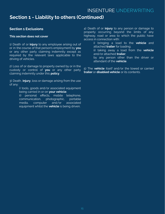### **Section 1 - Liability to others (Continued)**

### **Section 1 Exclusions**

### **This section does not cover**

1) Death of or **injury** to any employee arising out of or in the course of that person's employment by **you** or any other party claiming indemnity except as required by the relevant laws applicable to the driving of vehicles.

2) Loss of or damage to property owned by or in the custody or control of **you** or any other party claiming indemnity under this **policy**.

3) Death, **injury**, loss or damage arising from the use of any:

> i) tools, goods and/or associated equipment being carried in or on **your vehicle**;

ii) personal effects, mobile telephone, communication, photographic, portable media, computer and/or associated equipment whilst the **vehicle** is being driven.

4) Death of or **injury** to any person or damage to property occurring beyond the limits of any highway, road or area to which the public have access in connection with:

> i) bringing a load to the **vehicle** and attached **trailer** for loading;

ii) taking away a load from the **vehicle** and/or attached **trailer**;

by any person other than the driver or attendant of the **vehicle**.

5) The **vehicle** itself and/or the towed or carried **trailer** or **disabled vehicle** or its contents.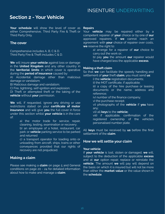### **Section 2 - Your Vehicle**

**Your schedule** will show the level of cover as either Comprehensive, Third Party Fire & Theft or Third Party Only.

### **The cover**

Comprehensive includes A, B, C & D. Third Party Fire & Theft includes C & D.

**We** will insure **your vehicle** against loss or damage in the **United Kingdom** and any other country in the **territorial limits** in which cover is operative during the **period of insurance** caused by:

A) Accidental damage other than malicious damage or vandalism;

B) Malicious damage and vandalism;

C) Fire, lightning, self-ignition and explosion;

D) Theft or attempted theft or the taking of the **vehicle** without **your** permission.

**We** will, if requested, ignore any driving or use restrictions stated on your **certificate of motor insurance** and will give **you** the full cover in force under this section whilst **your vehicle** is in the care of:

> a) the motor trade for service, repair, cleaning, testing, examination or recovery;

> b) an employee of a hotel, restaurant, car park or **vehicle** parking service to be parked and returned

> c) a transport operator for loading onto or unloading from aircraft, ships, trains or other conveyances provided that our rights of recovery are not prejudiced.

### **Making a claim**

Please see making a **claim** on page 5 and General conditions on page 20 - 24 for detailed information about how to make and manage a **claim**.

#### **Repairs**

Your **vehicle** may be repaired either by a competent repairer of **your** choice or by one of **our** approved repairers. If **we** cannot reach an agreement with **your** choice of repairer over costs, **we** reserve the right to:

> a) arrange for a repairer of **our** choice to carry out the work or;

b) pay **you** the amount **our** repairer would have charged less the applicable **excess**.

### **Making a theft claim**

So that **we** can facilitate the speedy handling and settlement of **your** theft **claim**, you must send **us**:

i) the **vehicle** registration documents;

ii) the MOT certificate, if applicable;

iii) a copy of the hire purchase or leasing documents or the name, address and reference;

iv) number of the finance company;

v) the purchase receipt;

vi) photographs of the **vehicle** if **you** have any;

vii) all **keys** to the **vehicle;**

viii) if applicable, confirmation of the registered ownership of the vehicle's personalised number plate.

All **keys** must be received by **us** before the final settlement of the **claim**.

### **How we will settle your claim**

### **Your vehicle**

If **your vehicle** is lost, stolen or damaged, **we** will, subject to the deduction of the applicable **excess** and at **our** option repair, replace or reinstate the **vehicle**. The amount **we** will pay will depend on the basis on which it is insured but will not be more than either the **market value** or the value shown in the **schedule**.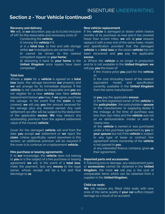### **Section 2 - Your Vehicle (continued)**

#### **Recovery and delivery**

**We** will, at **our** discretion, pay up to £1,000 inclusive of VAT for the reasonable and necessary costs of:

- i) protecting the **vehicle**;
- ii) moving the **vehicle** if it;

a) is a **total loss**, to free and safe storage whilst **our** investigations are carried out;

b) cannot be driven, to the nearest competent repairer or **your home;**

iii) delivering it back to **your home** in the **United Kingdom** once repairs have been completed.

#### **Total loss**

Where a **claim** for a **vehicle** is agreed on a **total loss** basis, the salvage becomes **our** property and **we** will arrange for its immediate disposal. If the **vehicle** is not classified as irreparable and **you** are not eligible for a new **vehicle** (see New **vehicle** replacement below) **you** may, if **we** agree, purchase the salvage. In the event that the **claim** is not covered, **we** will pay **you** the amount received for the salvage plus any interest earned. Any cash settlement we offer will be subject to the deduction of the applicable **excess**. **We** may deduct any outstanding premium from the agreed settlement value of the insured **vehicle**.

Cover for the damaged **vehicle** will end from the date **you** accept **our** settlement or **we** reject the **claim**. Unless specifically varied elsewhere in this section, an additional premium will be required if the cover is to continue on a replacement **vehicle**.

#### **Hire purchase or leasing agreements**

If, to **our** knowledge, the **vehicle** does not belong to **you** or is the subject of a hire purchase or leasing agreement **we** will, in the event of a **total loss**, make the payment, less any **excess** to the legal owner, whose receipt will be a full and final discharge to **us**.

#### **New vehicle replacement**

If the **vehicle** is damaged or stolen within twelve months of its purchase as new and it has covered fewer than 10,000 miles, **we** will at **your** request replace it with a new one of the same make, model and specification provided that the damaged **vehicle** is a **total loss** or the stolen **vehicle** has not been recovered and **you** pay the applicable **excess**.

a) Where the **vehicle** is no longer in production and/or is not available in the **United Kingdom**, **we** will pay **you** the lower of:

> i) the invoice price **you** paid for the **vehicle** or;

> ii) the cost (including taxes) of the nearest equivalent model and specification currently available in the **United Kingdom** from the same manufacturer;

#### b) **you** pay the applicable **excess**;

c) the first registered owner of the **vehicle** is the **policyholder**, the policyholder's **spouse** or the manufacturer or supplying dealer if the mileage at the time of purchase was less than 250 miles and the **vehicle** was not an ex demonstration model or sold as 'nearly new;

d) the **vehicle** is owned or was purchased under a hire purchase agreement by **you** or **your spouse** but not if the **vehicle** is subject to any type of lease or contract hire agreement where ownership of the **vehicle** is not passed to **you**;

e) any interested finance company gives **us** their agreement.

#### **Imported parts and accessories**

If, following loss or damage, any replacement parts or **accessories** cannot be obtained in the **United Kingdom**, the most **we** will pay is the cost of comparable items which can be obtained from a supplier in the **United Kingdom.**

### **Child car seats**

**We** will replace any fitted child seats with new ones of the same quality if **your car** suffers impact damage as a result of an accident.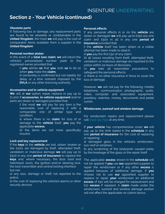### **Section 2 - Your Vehicle (continued)**

#### **Obsolete parts**

If, following loss or damage, any replacement parts are found to be obsolete or unobtainable in the **United Kingdom**, the most **we** will pay is the cost of comparable items available from a supplier in the **United Kingdom**

#### **Personal number plates**

In the event of a **total loss claim**, **we** will return the vehicle's personalised number plate to the registered owner provided that:

> i) **you** advise **us** that **you** wish **us** to do so when **you** make the **claim;**

> ii) ownership is confirmed but not liability for delay or a time restraint imposed by the **DVLA** or any other licencing authority.

#### **Accessories and in-vehicle equipment**

**We** will at **our** option, repair, replace or pay up to £1,000 if **accessories**, **in-vehicle equipment** and/or parts are stolen or damaged provided that:

> i) the most **we** will pay for any item is the reasonable cost of replacing it with a comparable one of similar type and condition;

> ii) where there is no **claim** for loss of or damage to the **vehicle** itself, **you** pay the applicable **excess;**

> iii) the items are not more specifically insured.

### **Lock and key replacement**

If the **keys** to the **vehicle** are lost, stolen, broken or the locks are damaged by theft, attempted theft, vandalism or malicious damage **we** will pay up to £500 in any one **period of insurance** to replace the **keys** and, where necessary, the door, boot and hatchback locks, the ignition and/or steering lock, the lock transmitter and central locking interface but not:

a) any loss, damage or theft not reported to the police;

b) the cost of replacing the vehicle's alarms or other security devices.

#### **Personal effects**

If any personal effects in or on the **vehicle** are stolen or damaged **we** will pay up to £250 any one claim and £500 in all in any one **period of insurance** provided that:

i) the **vehicle** itself has been stolen or a visible attempt has been made to steal it;

ii) **you** pay the first £50 of any claim;

iii) all losses resulting from theft, attempted theft, vandalism or malicious damage are reported to the police within 24 hours of discovery;

iv) **you** take all reasonable precautions to safeguard the personal effects;

v) there is no other insurance in force to cover the loss or damage.

However, **we** will not pay for the following; mobile telephone, communication, photographic, audio, video, computer and associated equipment, jewellery, watches, money, documents and pedal cycles.

#### **Windscreen, sunroof and window damage**

For windscreen repairs and replacement please call 0330 124 7931 at any time.

If **your vehicle** has comprehensive cover **we** will pay up to the limit stated in the **schedule** in any one **period of insurance** for the cost of replacing or repairing;

a) damaged glass in the vehicle's windscreen, sun-roof or windows;

b) any scratching of the bodywork caused solely by the breakage of the glass or the repair itself.

The applicable **excess** shown in the **schedule** will not be applied if **you** use **our** appointed supplier to repair the windscreen or if any other **excess** is applied because of additional damage. If **you** choose not to use **our** appointed supplier to replace or repair **your** windscreen an additional **excess** of £50 will be charged for replacement and £10 **excess** if repaired. A **claim** made under the windscreen, sunroof and window damage section will not affect the applicable no claims bonus.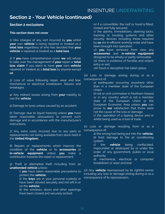### **Section 2 - Your Vehicle (continued)**

### **Section 2 exclusions**

### **This section does not cover**

1) Hire charges of any sort incurred by **you** whilst **your** own **vehicle** is being repaired or treated as a **total loss** regardless of who has decided that **your vehicle** is repaired or treated as a **total loss.**

2) If **you** have comprehensive cover **we** will refuse to take over the management of **your** repair or **total loss claim** if you elect to have **your** own **vehicle** repaired or treated as a **total loss** by anyone except **us**.

3) Loss of value following repair, wear and tear, mechanical or electrical breakdown, failures and breakages.

4) Any indirect losses arising from **your** inability to use the **vehicle**.

5) Damage to tyres unless caused by an accident.

6) Damage due to liquid freezing unless **you** have taken reasonable precautions to prevent such damage and in accordance with the manufacturer's instructions.

7) Any extra costs incurred due to any parts or replacements not being available from stock held in the **United Kingdom.**

8) Repairs or replacements which improve the condition of the **vehicle** or its **accessories** or **in-vehicle equipment** unless **you** make a contribution towards the repair or replacement.

9) Theft or attempted theft including from an **unattended vehicle** unless:

i) **you** have taken reasonable precautions to protect the **vehicle;**

ii) the **keys** are in your personal custody or have been stowed securely and not left in or on the **vehicle;**

iii) the windows, doors and other openings have been closed and securely locked;

iv) if a convertible, the roof or hood is fitted, closed and fully secured;

v) the alarms, immobilisers, steering locks, tracking or locating systems and other security devices including those required by **us** are in efficient working order and have been brought into operation;

vi) **you** have removed from view any **accessories** and i**n-vehicle equipment** designed to be wholly or partly removable vii) there is evidence of forcible and violent entry or exit;

viii) fraud or deception has taken place.

10) Loss or damage arising during or as a consequence of:

a) earthquake occurring anywhere other than in a member state of the European Union;

b) riot or civil commotion in Northern Ireland or in any country which is not a member state of the European Union or the European Economic Area unless **you** can prove to **our** satisfaction that these were not the cause of the loss or damage;

c) the operation of a tipping device and or whilst being used as a tool of trade.

11) Loss or damage resulting from or as a consequence of:

a) the wrong fuel being put into the **vehicle;** b) frost damage to the air conditioning system

c) the **vehicle** being confiscated, impounded or destroyed by or under the order of any government, public or local authority;

d) mechanical, electrical or computer breakdown or wear and tear.

12) Any **vehicle** repossessed by its rightful owner including any loss or damage arising during or as a consequence of its repossession.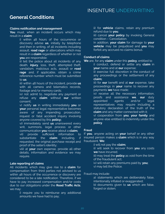### **General Conditions**

#### **Claims notification and management**

**You** must, when an incident occurs which may result in a **claim**:

> i) within 48 hours of the occurrence or discovery advise **us**, initially by telephone and then in writing, of all incidents including assault, **road rage** or altercations which may result in a **claim** regardless of whether or not **you** are responsible;

> ii) tell the police about all incidents of any death, **injury**, loss, theft, attempted theft, vandalism, malicious acts, assault or **road rage** and, if applicable, obtain a crime reference number which must be submitted to **us**;

> iii) within 48 hours of the incident, provide **us** with all camera and telematics records, footage and/or memory cards;

> iv) not admit to, negotiate any payment or refuse any **claim** without **our** written consent;

> v) notify **us** in writing immediately **you** or **your** personal legal representative becomes aware of any impending prosecution, inquest or fatal accident inquiry involving anyone covered by this **policy;**

> vi) immediately send **us** unanswered every writ, summons, legal process or other communication **you** receive about a **claim;**

> vii) provide sufficient information to substantiate the **claim** including, requested, the original purchase receipt and proof of the seller's identity;

> viii) at **your** own expense, provide all other details, information and evidence we may require.

### **Late reporting of claims**

All incidents which may give rise to a **claim** for compensation from third parties not advised to us within 48 hours of the occurrence or discovery are considered to be a late notification. Therefore, if we have to pay increased compensation and/or costs due to our obligations under the **Road Traffic Acts**, we may:

> i) require you to reimburse any additional amounts we have had to pay;

ii) for **vehicle** claims, retain any premium refund due to **you**;

iii) cancel **your policy** by invoking General condition – Cancellation.

In addition, **your claim** for damage to **your vehicle** may be prejudiced and **you** may forfeit any accrued no claims bonus.

#### **Conduct of claims**

**We** are, for any **claim** under this **policy**, entitled to

i) conduct, defend or settle any **claim** in **your** name and at **our** expense;

ii) exercise full discretion in the conduct of any proceedings or the settlement of any **claim;**

iii) for **our** benefit and at **our** expense, take proceedings in **your** name to recover any payments **we** have made;

iv) receive all the necessary information, proofs and assistance **we**, **our** duly appointed agents and/or legal representatives may require including a statutory declaration of the truth of the **claim** and any matter connected with it;

v) cooperation from **you**, **your family** and anyone else entitled to indemnity under this **policy**.

#### **Fraud**

If **you**, anyone acting on **your** behalf or any other insured person makes a **claim** which is in any way fraudulent. **We:**

i) will not pay the **claim;**

ii) will seek to recover from **you** any costs **we** have incurred;

iii) may treat the **policy** as void from the time of the fraudulent act;

iv) will retain any premiums paid by **you;**

v) may tell the Police.

#### Fraud may include:

a) statements which are deliberately false, intentionally inflated or exaggerated;

b) documents given to **us** which are false, forged or stolen;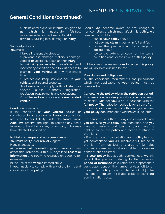### **General Conditions (continued)**

c) claim details and/or information given to **us** which is inaccurate, falsified, misrepresented or has been withheld; d) wilfully causing loss, damage or **injury**.

### **Your duty of care**

### **You** must:

i) take all reasonable steps to:

a) prevent loss, damage, malicious damage, vandalism, accident, death and/or **injury;**

b) maintain **your vehicle** in an efficient and roadworthy condition and allow **us** access to examine **your vehicle** at any reasonable time

c) protect and keep safe and secure **your vehicle**, and insured property;

d) observe and comply with all statutory<br>and/or public authority legislation, and/or public authority legislation, regulation, requirements and obligations;

ii) not leave **keys** in or on any **unattended vehicle**.

### **Condition of vehicle**

If the condition of **your vehicle** causes or contributes to an accident or **injury**, cover will be restricted to **our** liability under the **Road Traffic Acts**. **We** reserve the right to recover any costs from **you**, the driver or any other party who may have affected its condition.

#### **Notifying changes and non-compliance**

**You** must notify us or **broker** / agent:

i) any changes to:

a) the **essential information** given to us which may affect this insurance within 14 days (see **Essential information** and notifying changes on page 30 for examples);

b) the use of the **vehicle** immediately;

ii) **your** inability to comply with any of the terms and conditions of this **policy**.

Should **we** become aware of any change or non-compliance which may affect this **policy**, **we** reserve the right to:

- cancel **your policy** and/or;
- not pay any **claim** in part or in full and/or;
- revise the premium and/or change an **excess** and/or;
- revise the extent of cover or the terms, conditions and/or exclusions of this **policy**.

If it becomes necessary for **us** to cancel this **policy**, **we** will do so as outlined below.

#### **Your duties and obligations**

All the conditions, requirements and precautions which are applicable to **your policy** must be complied with.

### **Cancelling the policy within the reflection period**

This insurance provides **you** with a reflection period to decide whether **you** wish to continue with the full **policy**. The reflection period is for 14 days from the date cover commences or the date **you** receive **your policy** documentation whichever is the later.

If a period of less than 14 days has elapsed since **you** received **your policy** documentation, and **you** have not made a **total loss** claim, **you** have the right to cancel the **policy** and receive a refund of premium:

- If at the date of cancellation **your policy** has not yet commenced **you** will receive a full refund of premium from **us** less a charge of £25 plus Insurance Premium Tax if applicable to cover **our** administration costs; or

- If **your policy** has already commenced, **we** will refund the premium relating to the remaining **period of insurance** calculated on a proportionate basis dependent on the number of days left to run under the **policy** less a charge of £25 plus Insurance Premium Tax if applicable to cover **our** administration costs.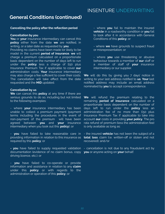### **General Conditions (continued)**

### **Cancelling the policy after the reflection period**

#### **Cancellation by you**

**You** or **your** insurance intermediary can cancel this **policy** either from the date **we** are notified, in writing, or a later date as requested by **you**.

Providing no claims have been made (or likely to be made) in the current **period of insurance**, **we** will charge a premium calculated on a proportionate basis dependent on the number of days left to run under the **policy** less a charge of £50 plus Insurance Premium Tax if applicable to cover **our** administration costs. **Your** insurance intermediary may also charge a fee sufficient to cover their costs. The cancellation will take effect from the date requested and the **MID** updated.

#### **Cancellation by us**

**We** can cancel this **policy** at any time if there are serious grounds to do so, including but not limited to the following examples:

- where **your** insurance intermediary has been unable to collect a premium payment (payment terms including the procedures in the event of non-payment of the premium will have been agreed between **you** and **your** insurance intermediary when you took out this **policy**); or

- **you** have failed to take reasonable care in providing information in relation to this insurance as required by this **policy**; or

**- you** have failed to supply requested validation documentation (evidence of no claim bonus, copy **you** or anyone acting on **your** behalf. driving licence, etc.); or

- **you** have failed to co-operate or provide information and assistance in relation to any **claim** under this **policy** or with regards to the administration or operation of this **policy**; or

- where **you** fail to maintain the insured **vehicle** in a roadworthy condition or **you** fail to look after it in accordance with General Conditions of this **policy**; or

- where **we** have grounds to suspect fraud or misrepresentation; or

- where **you** use threatening or abusive behaviour towards a member of **our** staff or a member of staff of **your** insurance intermediary or our supplier.

**We** will do this by giving you 7 days' notice in writing to your last address notified to **us**. **Your** last notified address may include an email address nominated by **you** to accept correspondence.

**We** will refund the premium relating to the remaining **period of insurance** calculated on a proportionate basis dependent on the number of days left to run under the **policy** less an administration fee of no more than £50 plus Insurance Premium Tax if applicable to take into account **our** costs in providing **your policy**. The pro rata refund of premium (less the administration fee) is only available as long as:

- the insured **vehicle** has not been the subject of a **total loss** claim (i.e. written-off or stolen and not recovered); and/or

- cancellation is not due to any fraudulent act by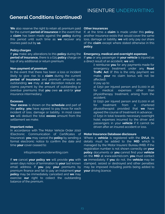### **General Conditions (continued)**

**We** also reserve the right to retain all premium paid for the current **period of insurance** in the event that a **claim** has been made against the **policy** during this period until such time as **we** recover any monies paid out by **us**.

#### **Policy charges**

If **you** make any alterations to this **policy** during the **period of insurance,** there is a £25 **policy** charge on top of any additional or return premium.

#### **Non-payment of premium**

In the event that there has been a loss or incident likely to give rise to a **claim** during the current **period of insurance** and premium amounts are outstanding **we** may at **our** discretion reduce any claims payment by the amount of outstanding or overdue premiums that **you** owe **us** and/or **your** insurance intermediary.

#### **Excesses**

**Your excess** is shown on the **schedule** and part of the **policy**, **you** have agreed to pay these for each incident of loss, damage or liability. In most cases **we** will deduct the total **excess** amount from the settlement we make.

#### **Important notes**

In accordance with The Motor Vehicle Order 2010 (Electronic Communication of Certificates of Insurance), **you** may cancel the **policy** by sending a formal electronic notice to confirm the date and time **your** cover ceased to:

#### info@insentureunderwriting.com

If **we** cancel **your policy we** will provide **you** with seven days notice of termination to **your** last known email address. If **you** pay **your** premiums by premium finance and fail to pay an instalment **your policy** may be immediately cancelled and **we** may exercise **our** right to collect the outstanding balance of the premium.

### **Other insurances**

If, at the time a **claim** is made under this **policy**, another insurance exists that would cover the same loss, damage or liability, **we** will only pay our share of the **claim** except where stated otherwise in this **policy**.

#### **Emergency, medical and overnight expenses**

If **you** or any passenger in **your vehicle** is injured as a direct result of an accident, **we** will:

- i) reimburse **you** for any payments made for emergency treatment under any **Road Traffic Act** (if this is the only payment we make, **your** no claim bonus will not be affected);
- ii) pay up to:
- a) £250 per injured person and £1,000 in all for medical expenses other than physiotherapy treatment, arising from the accident;
- b) £250 per injured person and £1,000 in all for treatment from a chartered physiotherapist provided that **we** have agreed the course of treatment in advance; c) £250 in total towards necessary overnight
- hotel expenses incurred by the driver and passengers in your **vehicle** if it cannot be driven after an insured accident or loss.

#### **Motor Insurance Database disclosure**

Where a **vehicle** is registered with the **DVLA**, its details must be added to the **MID** which is managed by the Motor Insurers' Bureau (MIB). If the registration number is not shown correctly on **your policy** documents or **you** cannot find your **vehicle** on the **MID** at www.askmid.com, **you** must contact **us** immediately. If **you** do not, the **vehicle** may be clamped, seized or destroyed and other penalties may be imposed including points being added to **your** driving licence.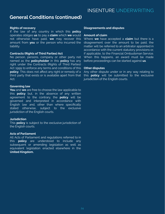### **General Conditions (continued)**

### **Rights of recovery**

If the law of any country in which this **policy** operates obliges **us** to pay a **claim** which **we** would not otherwise have paid, **we** may recover this amount from **you** or the person who incurred the liability.

#### **Contracts (Rights of Third Parties) Act**

No person, persons, company or other party not named as the **policyholder** in this **policy** has any right under the Contracts (Rights of Third Parties) Act 1999 to enforce any terms and conditions of this **policy**. This does not affect any right or remedy of a third party that exists or is available apart from that Act.

### **Governing law**

**You** and **we** are free to choose the law applicable to this **policy** but, in the absence of any written agreement to the contrary, the **policy** will be governed and interpreted in accordance with English law and, other than where specifically stated otherwise, subject to the exclusive jurisdiction of the English courts.

### **Jurisdiction**

This **policy** is subject to the exclusive jurisdiction of the English courts.

### **Acts of Parliament**

All Acts of Parliament and regulations referred to in this **policy** are understood to include any subsequent or amending legislation as well as equivalent legislation enacted elsewhere in the **United Kingdom.**

### **Disagreements and disputes**

#### **Amount of claim**

Where **we** have accepted a **claim** but there is a disagreement over the amount to be paid, the matter will be referred to an arbitrator appointed in accordance with the current statutory provisions or, if applicable, to the Financial Ombudsman Service. When this happens, an award must be made before proceedings can be started against **us**.

#### **Other disputes**

Any other dispute under or in any way relating to this **policy** will be submitted to the exclusive jurisdiction of the English courts.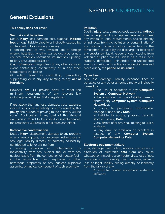### **General Exclusions**

### **This policy does not cover**

#### **War risks and terrorism**

Death, **injury**, loss, damage, cost, expense, **indirect loss** or legal liability directly or indirectly caused by, contributed to by or arising from any

i) consequence of war, invasion, act of foreign enemy, hostilities (whether war be declared or not), civil war, rebellion, revolution, insurrection, uprising, military or usurped power or

ii) **act of terrorism** regardless of any other cause or event contributing concurrently or in any other sequence to the loss or

iii) action taken in controlling, preventing, suppressing or in any way relating to any **act of terrorism.**

However, **we** will provide cover to meet the minimum requirements of any relevant law including current Road Traffic legislation.

If **we** allege that any loss, damage, cost, expense, indirect loss or legal liability is not covered by this **policy**, the burden of proving to the contrary will be yours. Additionally, if any part of this General exclusion is found to be invalid or unenforceable, the remainder will remain in full force and effect.

### **Radioactive contamination**

Death, **injury**, disablement, damage to any property or any resulting loss, cost, expense, indirect loss or any legal liability directly or indirectly caused by, contributed to by or arising from

i) ionising radiations or contamination by radioactivity from any nuclear fuel or from any nuclear waste from the combustion of nuclear fuel ii) the radioactive, toxic, explosive or other hazardous properties of any nuclear explosive assembly or nuclear component of such assembly.

#### **Pollution**

Death, **injury**, loss, damage, cost, expense, **indirect loss** or legal liability except as required to meet any minimum legal requirements, arising directly or indirectly from the pollution or contamination of any building, other structure, water, land or the atmosphere caused by the discharge or leaking of any substance, liquid, vapour or gas including from volcanic eruption clouds unless as a result of a sudden, identifiable, unintended and unexpected event occurring in its entirety at a specific time and place during the **period of insurance.**

### **Cyber loss**

Any loss, damage, liability, expense, fines or penalties or any other amount directly or indirectly caused by:

> i. the use or operation of any **Computer System** or **Computer Network**;

ii. the reduction in or loss of ability to use or operate any **Computer System**, **Computer Network** or;

iii. access to, processing, transmission, storage or use of any **Data**;

iv. inability to access, process, transmit, store or use any **Data**;

v. any threat of or any hoax relating to i,ii,iii & iv above;

vi. any error or omission or accident in respect of any **Computer System**, **Computer Network** or **Data**.

### **Electronic equipment failure**

Loss, damage, destruction, erasure, corruption or alteration of electronic **data** from any cause whatsoever including a computer virus, loss of use, reduction in functionality, cost, expense, indirect loss or legal liability arising directly or indirectly from the failure of any:

> i) computer, related equipment, system or software;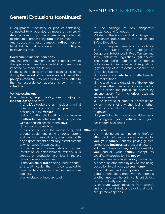### **General Exclusions (continued)**

ii) equipment, machinery or product containing, connected to or operated by means of a micro or **data** processor chip to recognise, accept, interpret, respond to or process any **data** or instruction.

Any subsequent loss, damage, **indirect loss** or legal liability that is covered by this **policy** is, however, insured.

#### **Government financial sanctions**

Any indemnity, payment or other benefit where doing so would breach any prohibition or restriction imposed by law or regulation.

If any such prohibition or restriction takes effect during the **period of insurance**, **we** will cancel this **policy** immediately by recorded delivery letter to the correspondence address shown in the **schedule**.

### **Vehicle exclusions**

Loss, damage, legal liability, death, **injury** or **indirect loss** arising from

> i) a) wilful, deliberate or malicious criminal damage or committed by **you** or any passenger in the **vehicle**;

> b) theft or attempted theft including from an **unattended vehicle** committed by a person with authorised access to the **keys**;

ii) the use of the **vehicle;**

a) air-side including the manoeuvring and ground equipment parking areas, aprons and service roads directly associated with any airport, airfield or military establishment to which aircraft have access;

b) within any power station, nuclear installation or establishment, refinery, bulk storage or production premises in the oil, gas or chemical industries;

iii) the **vehicle** or **trailer** being used to carry a) a load heavier than it is constructed to carry and/or over its specified maximum capacity;

b) an unstable or insecure load;

iv) the carriage of any dangerous substances and/or goods;

a) listed in the Approved List of Dangerous Substances published by the Health and Safety Executive;

b) which require carriage in accordance with The Road Traffic (Carriage of Dangerous Substances in Road Tankers and Tank Containers) Regulations 1992 and/or The Road Traffic (Carriage of Dangerous Substances in Packages etc.) Regulations 1992 or any other relevant subsequent or similar legislation;

v) the use of any **vehicle** or its attachments as a tool of trade

vi) the loading and unloading of the **vehicle** or **trailer** other than on a highway, road or area to which the public has access by anyone apart from the driver, assistant and/or attendant;

vii) the spraying of crops or dissemination by any means of any chemical or other substances whether or not for agricultural purposes;

viii) **your** failure to use all reasonable means to safeguard **your vehicle** and **your** passengers at all times.

#### **Other exclusions**

i) Any deliberate act including theft or attempted theft and any malicious act by **you**, **your family**, tenants, paying guests, employees, **business** partners or directors ii) Indirect losses of any kind incurred by

**you** and/or your **family** except as specifically covered by this **policy.**

iii) Loss, damage or legal liability caused by a) deception other than by any person using deception to gain entry to **your home**;

b) normal wear and tear, upkeep or making good, deterioration, moth, vermin, termites or other insects, inherent vice, latent defect or any gradually operating cause;

c) pressure waves resulting from aircraft and other aerial devices travelling at sonic or supersonic speeds;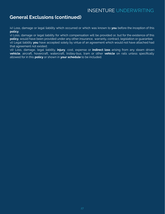### **General Exclusions (continued)**

iv) Loss, damage or legal liability which occurred or which was known to **you** before the inception of this **policy**;

v) Loss, damage or legal liability for which compensation will be provided or, but for the existence of this **policy**, would have been provided under any other insurance, warranty, contract, legislation or guarantee vi) Legal liability **you** have accepted solely by virtue of an agreement which would not have attached had that agreement not existed;

vii) Loss, damage, legal liability, **injury**, cost, expense or **indirect loss** arising from any steam driven **vehicle**, aircraft, hovercraft, watercraft, trolley-bus, tram or other **vehicle** on rails unless specifically allowed for in this **policy** or shown in **your schedule** to be included.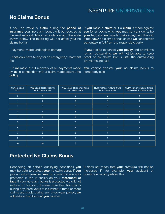### **No Claims Bonus**

If you do make a **claim** during the **period of insurance** your no claim bonus will be reduced at the next renewal date in accordance with the scale shown below. The following will not affect your no claims bonus:

- Payments made under glass damage.

- If **we** only have to pay for an emergency treatment fee.

- If **we** make a full recovery of all payments made by **us** in connection with a claim made against the **policy**.

If **you** make a **claim** or if a **claim** is made against **you** for an event which **you** may not consider to be **your** fault and **we** have to make a payment this will affect **your** no claims bonus unless **we** can recover **our** outlay in full from the responsible party.

If **you** decide to cancel **your policy** and premiums remain outstanding **we** will not be able to issue proof of no claims bonus until the outstanding premiums are paid.

**You** cannot transfer **your** no claims bonus to somebody else.

| <b>Current Years</b><br><b>NCD</b> | NCD years at renewal if no<br>fault claims made | NCD years at renewal if one<br>fault claim made | NCD years at renewal if two<br>fault claims made | NCD years at renewal if more<br>than two fault claims made |
|------------------------------------|-------------------------------------------------|-------------------------------------------------|--------------------------------------------------|------------------------------------------------------------|
| $\overline{0}$                     |                                                 | $\mathbf{0}$                                    | $\overline{0}$                                   | $\mathbf{0}$                                               |
|                                    | $\overline{2}$                                  | $\Omega$                                        | $\mathbf 0$                                      | $\Omega$                                                   |
| 2                                  | 3                                               | $\Omega$                                        | $\Omega$                                         | $\Omega$                                                   |
| 3                                  |                                                 |                                                 | $\Omega$                                         | $\Omega$                                                   |
| $\overline{4}$                     | $5\phantom{.}$                                  | $\overline{2}$                                  | $\mathbf 0$                                      | $\mathbf{0}$                                               |
| $5\overline{)}$                    | $6 \overline{6}$                                | 3                                               |                                                  | $\mathbf{0}$                                               |
| $6\phantom{1}$                     | 7                                               | 3                                               |                                                  | $\Omega$                                                   |
| 7                                  | 8                                               | 3                                               |                                                  | $\Omega$                                                   |
| 8                                  | $\overline{9}$                                  | 3                                               |                                                  | $\Omega$                                                   |
| $9+$                               | $9+$                                            | $\mathbf{3}$                                    |                                                  | $\Omega$                                                   |

### **Protected No Claims Bonus**

Depending on certain qualifying conditions **you** may be able to protect **your** no claim bonus if **you** pay an extra premium. **Your** no claim bonus is only protected if this is shown on your **statement of fact.** If your no-claim bonus is protected we will not reduce it if you do not make more than two claims during any three years of insurance. If three or more claims are made during any three-year period, **we** will reduce the discount **you** receive.

It does not mean that **your** premium will not be increased if, for example, **your** accident or conviction record justifies this.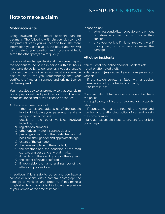### **How to make a claim**

### **Motor accidents**

Being involved in a motor accident can be traumatic. The following will help you with some of the practical steps you will need to take. The more information you can give us, the better able we will be to defend your position and if you are at fault, settle the other party's claim quickly.

If you don't exchange details at the scene, report the accident to the police in person within 24 hours (you can't do so by telephone) or, if you are unable to do so due to your injuries, you must ask someone else to do it for you remembering that your certificate of motor insurance and driving licence will be required.

You must also advise us promptly so that your claim is not prejudiced and produce your certificate of motor insurance and driver's licence on request.

At the scene make a note of:

- the names and addresses of the people involved including your passengers and any independent witnesses;
- details of the other vehicles involved including the:
- a) registration numbers;
- b) other drivers' motor insurance details;
- c) passengers in the other vehicles and, if possible, their gender and approximate age;
- d) extent of the damage;
- e) the time and place of the accident;
- f) the weather and the condition of the road e.g. wet or greasy and any skid marks;
- g) if it is dark or the visibility is poor, the lighting;
- h) the extent of injuries suffered:
- i) if applicable, the name and number of the attending police officer.

In addition, if it is safe to do so and you have a camera or a phone with a camera, photograph the damage to vehicles and property. If not make a rough sketch of the accident including the position of your vehicle at the time of impact.

Please do not:

- admit responsibility, negotiate any payment or refuse any claim without our written consent
- drive your vehicle if it is not roadworthy or if driving will, in any way, increase the damage.

### **All other incidents**

You must tell the police about all incidents of:

- theft or attempted theft;

- damage or **injury** caused by malicious persons or vandals;

- if the stolen vehicle is fitted with a tracker, immediately notify the tracing company;

- if an item is lost.

You must also obtain a case / loss number from the police:

- if applicable, advise the relevant lost property office;

- if applicable, make a note of the name and number of the attending police officer and obtain the crime number;

- take all reasonable steps to prevent further loss or damage.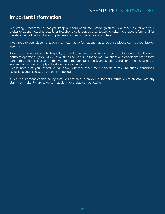### **Important Information**

We strongly recommend that you keep a record of all information given to us, another insurer and your broker or agent including details of telephone calls, copies of all letters, emails, the proposal form and/or the statement of fact and any supplementary questionnaires you completed.

If you require your documentation in an alternative format such as large print, please contact your broker, agent or us.

To ensure we maintain a high quality of service, we may monitor and record telephone calls. For your **policy** to operate fully you MUST, at all times comply with the terms, limitations and conditions which form part of this policy. It is essential that you read the general, specific and section conditions and exclusions to ensure that you can comply with all our requirements.

Please note that your schedule will show whether other more specific terms, limitations, conditions, exclusions and excesses have been imposed.

It is a requirement of this policy that you are able to provide sufficient information to substantiate any **claim** you make. Failure to do so may delay or prejudice your claim.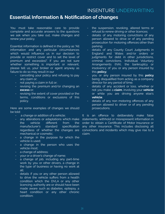### **Essential Information & Notification of changes**

You must take reasonable care to provide complete and accurate answers to the questions we ask when you take out, make changes and renew your policy.

Essential information is defined in the policy as "All information and any particular circumstances which would influence us in our decision to provide or restrict cover and to set the level of premium and excess(es)". If you are not sure whether something is important or relevant, please tell us, your broker or agent anyway as failure to do so may result in our

- cancelling your policy and refusing to pay any claim or;
- not paying a claim in full or;
- revising the premium and/or changing an **excess** or;
- revising the extent of cover provided or the terms, conditions or exclusions of this policy.

Here are some examples of changes we should be told:

- a change or addition of a vehicle;
- any alterations or adaptations which make the vehicle different from the manufacturer's standard specification regardless of whether the changes are mechanical or cosmetic;
- a change in the purpose for which the vehicle is used;
- a change in the person who uses the vehicle most;
- a change of address;
- your or a driver's change of name;
- a change of job, including any part-time work by you or other drivers, a change in the type of business or having no work at all;
- details if you or any other person allowed to drive the vehicle suffers from a health condition which the DVLA or any other licencing authority are or should have been made aware such as diabetes, epilepsy, a heart condition or any other chronic condition;
- the suspension, revoking, altered terms or refusal to renew driving or other licences;
- details of any motoring convictions of any person allowed to drive or of any pending prosecution for motoring offences other than parking;
- details of any County Court Judgments in England and Wales and/or orders or judgments for debt in other jurisdictions, criminal convictions, Individual Voluntary Arrangements (IVA), the bankruptcy or insolvency of you or any person insured by this **policy;**
- you or any person insured by this **policy** being disqualified from acting as a company director for any period of time;
- details of any accident or loss, whether or not you make a **claim**, involving your **vehicle** or while you are driving anyone else's **vehicle**;
- details of any non motoring offences of any person allowed to driver or of any pending prosecutions.

It is an offence to deliberately make false statements, withhold or misrepresent information in order to obtain a Certificate of Motor Insurance or any other insurance. This includes disclosing all convictions and incidents which may give rise to a claim.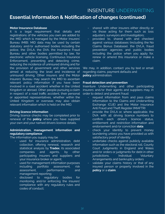### **Essential Information & Notification of changes (continued)**

### **Motor Insurance Database**

It is a legal requirement that details and registrations of the vehicles you own are added to the MID which is managed by the Motor Insurers' Bureau (MIB). MID data may be used by certain statutory and/or authorised bodies including the police, the DVLA, the DVA, the Insurance Fraud Bureau and other bodies permitted by law, for electronic vehicle licensing, Continuous Insurance Enforcement, preventing and detecting crime, reducing the incidence of uninsured driving and for the provision of government and other services aimed at reducing the level and incidence of uninsured driving. Other insurers and the Motor Insurers' Bureau may search the MID to ascertain relevant policy information if you have been involved in a road accident whether in the United Kingdom or abroad. Other people pursuing a claim in respect of a road traffic accident, their personal or appointed representatives, whether within the United Kingdom or overseas may also obtain relevant information which is held on the MID.

### **Driving licence information**

Driving licence checks may be completed prior to renewal of the **policy** where you have supplied your own and your named drivers licence details.

### **Administration, management information and regulatory compliance**

The information you supply may be

- used for insurance administration, debt collection, offering renewal, research and statistical analysis by **Tradex**, its associated companies and agents, by other participating insurers and suppliers and your insurance broker or agent;
- used for management information purposes including portfolio assessment, risk assessment, performance and management reporting;
- disclosed to regulatory bodies for monitoring and/or enforcing the insurers' compliance with any regulatory rules and codes of conduct;
- shared with other insurers either directly or via those acting for them such as loss adjusters, surveyors and investigators;
- provided to, shared with and checked against various databases (including the No Claims Bonus Database), the DVLA, fraud prevention agencies and public bodies including the police when you apply for, renew or amend this insurance or make a claim.

We may, in addition, contact you by text or email regarding claims, payment defaults and **policy** administration.

### **Fraud detection and prevention**

Insenture Underwriting and other participating insurers and/or their agents and suppliers may, in order to detect and prevent fraud:

- request information from and pass claims information to the Claims and Underwriting Exchange (CUE) and the Motor Insurance Anti Fraud and Theft Register (MIAFTR)
- provide the DVLA or, where applicable, the DVA with all driving licence numbers to confirm each driver's licence status, entitlement and restriction information and endorsement and/or conviction **data**
- check your identity to prevent money laundering unless you have provided us with satisfactory proof of identity
- undertake checks against publicly available information such as the electoral roll, County Court Judgments in England and Wales and/or orders or judgments for debt in other iurisdictions, Individual Voluntary Arrangements and bankruptcy orders
- validate your claims history or that of any insured person or property involved in the **policy** or a **claim**.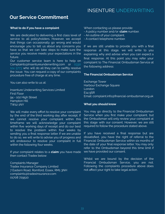### **Our Service Commitment**

### **What to do if you have a complaint**

We are dedicated to delivering a first class level of service to all policyholders. However, we accept that things can occasionally go wrong and would encourage you to tell us about any concerns you have so that we can take steps to make sure the service you receive meets your expectations in the future.

Our customer service team is here to help on Complaints@Insentureunderwriting.com or 0330 124 5773 who will do all they can to swiftly resolve the issue. You can request a copy of our complaints procedure free of charge at any time.

You can also write to us at:

Insenture Underwriting Services Limited First Floor 94 - 102 High Street Hampton Hill TW12 1NY

We will make every effort to resolve your complaint by the end of the third working day after receipt. If we cannot resolve your complaint within this timeframe we will acknowledge your complaint within five working days of receipt and do our best to resolve the problem within four weeks by sending you a final response letter. If we are unable to do so, we will write to advise you of progress and will endeavour to resolve your complaint in full within the following four weeks.

If your complaint relates to a **claim** you have made then contact Tradex below:

Complaints Manager Tradex Insurance Company Limited 7 Eastern Road, Romford, Essex, RM1 3NH complaints@tradexinsurance.com 01708 729510

When contacting us please provide:

- A policy number and/or **claim** number.
- An outline of your complaint.
- A contact telephone number.

If we are still unable to provide you with a final response at this stage, we will write to you explaining why and advise when you can expect a final response. At this point you may refer your complaint to The Financial Ombudsman Service at the following address:

### **The Financial Ombudsman Service**

Exchange Tower Harbour Exchange Square **London** E14 9SR Email: complaint.info@financial-ombudsman.org.uk

#### **What you should know**

You may go directly to the Financial Ombudsman Service when you first make your complaint, but the Ombudsman will only review your complaint at this stage with our consent. However, we are still required to follow the procedure stated above.

If you have received a final response but are dissatisfied, you have the right of referral to the Financial Ombudsman Service within six months of the date of your final response letter. You may only refer to the Ombudsman beyond this time limit if we have provided our consent.

Whilst we are bound by the decision of the Financial Ombudsman Service, you are not. Following the complaints procedure above does not affect your right to take legal action.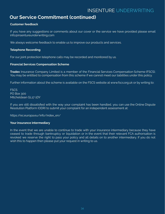### **Our Service Commitment (continued)**

### **Customer feedback**

If you have any suggestions or comments about our cover or the service we have provided please email info@insentureunderwriting.com

We always welcome feedback to enable us to improve our products and services.

### **Telephone Recording**

For our joint protection telephone calls may be recorded and monitored by us.

### **Financial Services Compensation Scheme**

**Tradex** Insurance Company Limited is a member of the Financial Services Compensation Scheme (FSCS). You may be entitled to compensation from this scheme if we cannot meet our liabilities under this policy.

Further information about the scheme is available on the FSCS website at www.fscs.org.uk or by writing to:

**FSCS** PO Box 300 Mitcheldean GL17 1DY

If you are still dissatisfied with the way your complaint has been handled, you can use the Online Dispute Resolution Platform (ODR) to submit your complaint for an independent assessment at:

https://ec.europa.eu/info/index\_en/

### **Your insurance intermediary**

In the event that we are unable to continue to trade with your insurance intermediary because they have ceased to trade through bankruptcy or liquidation or in the event that their relevant FCA authorisation is revoked we reserve the right to pass your policy and all details on to another intermediary. If you do not wish this to happen then please put your request in writing to us.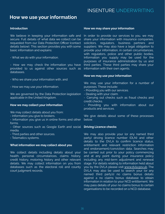### **How we use your information**

#### **Introduction**

We believe in keeping your information safe and secure. Full details of what data we collect can be requested from our Data Protection Officer (contact details below). This section provides you with some basic information and explains:

- What we do with your information.

- How we may check the information you have provided to us against other sources such as databases.

- Who we share your information with, and
- How we may use your information.

We are governed by the Data Protection legislation applicable in the United Kingdom.

#### **How we may collect your information**

We may collect details about you from:

- Information you give to brokers.

- Information you give us in online forms and other forms.

- Other sources such as Google Earth and social media.

- Third parties and other sources.

- Telematics systems.

#### **What information we may collect about you**

We collect details including details about your health, personal circumstances, claims history, credit history, motoring history and other relevant details. We may collect information on you from databases such as the electoral roll and county court judgment records.

### INSENTURE UNDERWRITING

#### **How we may share your information**

In order to provide our services to you, we may share your information with insurance companies, solicitors, regulators, business partners and suppliers. We may also have a legal obligation to provide your information, in certain circumstances, with regulators, police and other public bodies. Information you supply may be used for the purposes of insurance administration by us and third parties. These third parties may share your information with their own agents.

### **How we may use your information**

We may use your information for a number of purposes. These include:

- Providing you with our services.
- Dealing with your claim.
- Carrying out checks such as fraud checks and credit checks.
- Providing you with information about our products and services.

We give details about some of these processes below.

#### **Driving Licence checks**

We may also provide your (or any named third party) driving licence number (DLN) and other details to the DVLA to confirm licence status, entitlement and relevant restriction information and endorsement/conviction data. Searches may be carried out prior to your policy commencing and at any point during your insurance policy including any mid-term adjustment and renewal stage. For details relating to information held about you by the DVLA please visit [www.dvla.gov.uk.](http://www.dvla.gov.uk) The DVLA may also be used to search your (or any named third party's) no claims bonus details against a no claims bonus database to obtain information in relation to your NCD entitlement. We may pass details of your no claims bonus to certain organisations to be recorded on a NCD database.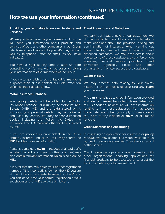### **How we use your information (continued)**

#### **Providing you with details on our Products and Services**

Where you have given us your consent to do so, we will send you information about products and services of ours and other companies in our Group which may be of interest to you. We may contact you by telephone, letter or email (as you have indicated).

You have a right at any time to stop us from contacting you for marketing purposes or giving your information to other members of the Group.

If you no longer wish to be contacted for marketing purposes then please contact our Data Protection Officer (contact details below).

### **Motor Insurance Database**

Your **policy** details will be added to the Motor Insurance Database (MID), run by the Motor Insurers' Bureau (MIB). MID and the **data** stored on it, including your personal details, may be looked at and used by certain statutory and/or authorised bodies including the Police, the DVLA, the Insurance Fraud Bureau and other bodies permitted by law.

If you are involved in an accident (in the UK or abroad), insurers and/or the MIB may search the **MID** to obtain relevant information.

Persons pursuing a **claim** in respect of a road traffic accident (including citizens of other countries) may also obtain relevant information which is held on the **MID**.

It is vital that the MID holds your correct registration number. If it is incorrectly shown on the MID you are at risk of having your vehicle seized by the Police. You can check that your correct registration details are shown on the MID at www.askmid.com,

#### **Fraud Prevention and Detection**

We carry out fraud checks on our customers. We do this in order to prevent fraud and also to help us make decisions about the provision, pricing and administration of insurance. When carrying out these checks, we will search against fraud detection databases. We may pass details about you to some of these databases. Law enforcement agencies, financial service providers, fraud prevention agencies, Police and other organisations may also access these databases.

### **Claims History**

We may process data relating to your claims history for the purposes of assessing any **claim** you may make.

The aim is to help us to check information provided and also to prevent fraudulent claims. When you tell us about an incident we will pass information relating to it to these databases. We may search these databases when you apply for insurance, in the event of any incident or **claim**, or at time of renewal.

#### **Credit Searches and Accounting**

In assessing an application for insurance or **policy** renewal, we may search files made available to us by credit reference agencies. They keep a record of that search.

Credit reference agencies share information with other organisations, enabling applications for financial products to be assessed or to assist the tracing of debtors, or to prevent fraud.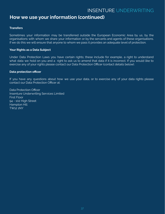### **How we use your information (continued)**

### **Transfers**

Sometimes your information may be transferred outside the European Economic Area by us, by the organisations with whom we share your information or by the servants and agents of these organisations. If we do this we will ensure that anyone to whom we pass it provides an adequate level of protection.

### **Your Rights as a Data Subject**

Under Data Protection Laws you have certain rights; these include for example, a right to understand what data we hold on you and a right to ask us to amend that data if it is incorrect. If you would like to exercise any of your rights please contact our Data Protection Officer (contact details below).

### **Data protection officer**

If you have any questions about how we use your data, or to exercise any of your data rights please contact our Data Protection Officer at:

Data Protection Officer Insenture Underwriting Services Limited First Floor 94 - 102 High Street Hampton Hill TW12 1NY